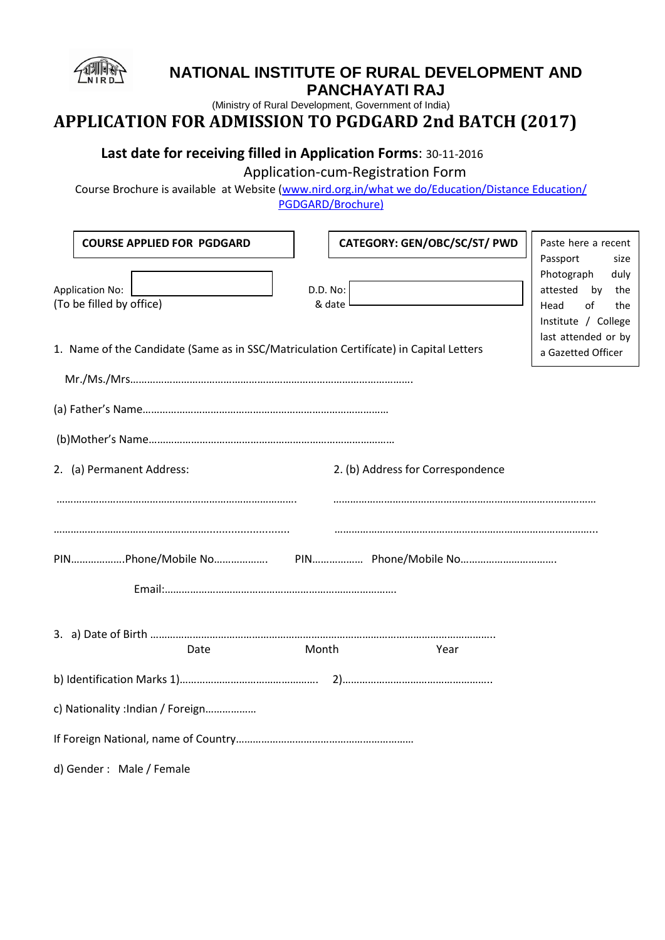

## **NATIONAL INSTITUTE OF RURAL DEVELOPMENT AND PANCHAYATI RAJ**

(Ministry of Rural Development, Government of India)

# **APPLICATION FOR ADMISSION TO PGDGARD 2nd BATCH (2017)**

## **Last date for receiving filled in Application Forms**: 30-11-2016

Application-cum-Registration Form

Course Brochure is available at Website [\(www.nird.org.in/what we do/Education/Distance Education/](http://www.nird.org.in/Distance%20Education%20Cell/PGDSRD/News%20&%20Events%20)) [PGDGARD/Brochure\)](http://www.nird.org.in/Distance%20Education%20Cell/PGDSRD/News%20&%20Events%20))

| <b>COURSE APPLIED FOR PGDGARD</b><br><b>Application No:</b><br>(To be filled by office)<br>1. Name of the Candidate (Same as in SSC/Matriculation Certificate) in Capital Letters | D.D. No:<br>& date                | CATEGORY: GEN/OBC/SC/ST/ PWD | Paste here a recent<br>Passport<br>size<br>Photograph<br>duly<br>attested by<br>the<br>of<br>Head<br>the<br>Institute / College<br>last attended or by<br>a Gazetted Officer |  |  |
|-----------------------------------------------------------------------------------------------------------------------------------------------------------------------------------|-----------------------------------|------------------------------|------------------------------------------------------------------------------------------------------------------------------------------------------------------------------|--|--|
|                                                                                                                                                                                   |                                   |                              |                                                                                                                                                                              |  |  |
|                                                                                                                                                                                   |                                   |                              |                                                                                                                                                                              |  |  |
| 2. (a) Permanent Address:                                                                                                                                                         | 2. (b) Address for Correspondence |                              |                                                                                                                                                                              |  |  |
|                                                                                                                                                                                   |                                   |                              |                                                                                                                                                                              |  |  |
|                                                                                                                                                                                   |                                   |                              |                                                                                                                                                                              |  |  |
|                                                                                                                                                                                   |                                   |                              |                                                                                                                                                                              |  |  |
| Date                                                                                                                                                                              | Month                             | Year                         |                                                                                                                                                                              |  |  |
|                                                                                                                                                                                   |                                   |                              |                                                                                                                                                                              |  |  |
| c) Nationality : Indian / Foreign                                                                                                                                                 |                                   |                              |                                                                                                                                                                              |  |  |
|                                                                                                                                                                                   |                                   |                              |                                                                                                                                                                              |  |  |
| d) Gender: Male / Female                                                                                                                                                          |                                   |                              |                                                                                                                                                                              |  |  |